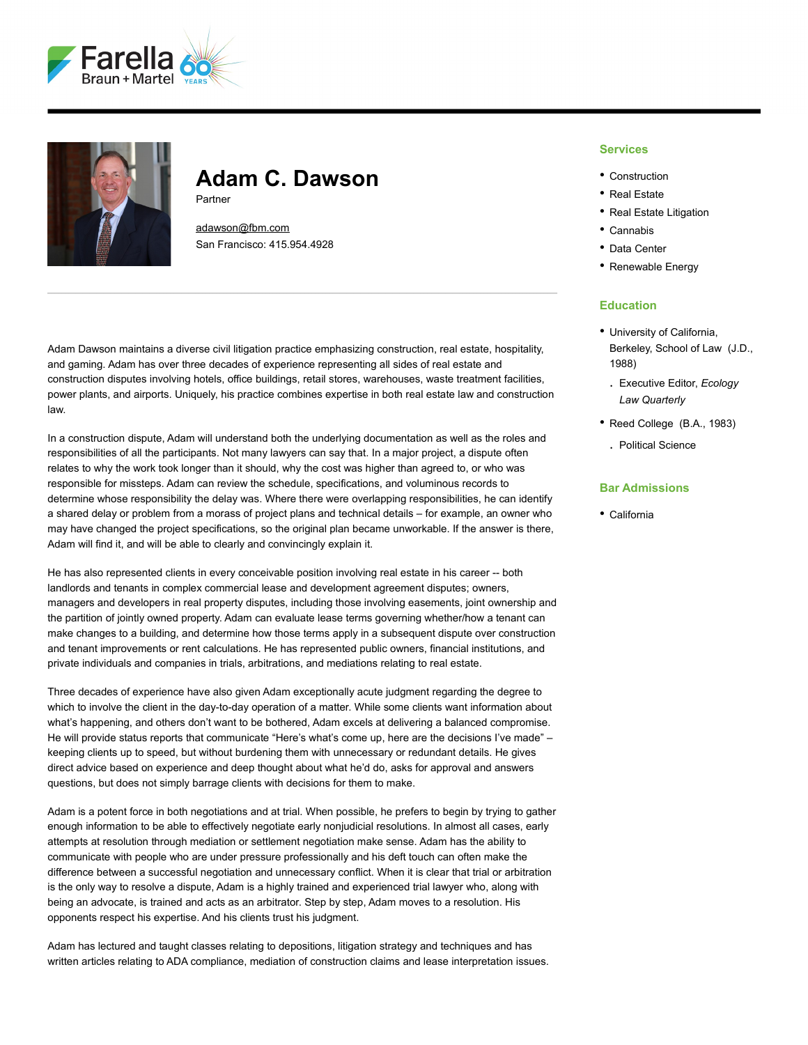



# **Adam C. Dawson**

Partner

[adawson@fbm.com](mailto:adawson@fbm.com) San Francisco: 415.954.4928

Adam Dawson maintains a diverse civil litigation practice emphasizing construction, real estate, hospitality, and gaming. Adam has over three decades of experience representing all sides of real estate and construction disputes involving hotels, office buildings, retail stores, warehouses, waste treatment facilities, power plants, and airports. Uniquely, his practice combines expertise in both real estate law and construction law.

In a construction dispute, Adam will understand both the underlying documentation as well as the roles and responsibilities of all the participants. Not many lawyers can say that. In a major project, a dispute often relates to why the work took longer than it should, why the cost was higher than agreed to, or who was responsible for missteps. Adam can review the schedule, specifications, and voluminous records to determine whose responsibility the delay was. Where there were overlapping responsibilities, he can identify a shared delay or problem from a morass of project plans and technical details – for example, an owner who may have changed the project specifications, so the original plan became unworkable. If the answer is there, Adam will find it, and will be able to clearly and convincingly explain it.

He has also represented clients in every conceivable position involving real estate in his career -- both landlords and tenants in complex commercial lease and development agreement disputes; owners, managers and developers in real property disputes, including those involving easements, joint ownership and the partition of jointly owned property. Adam can evaluate lease terms governing whether/how a tenant can make changes to a building, and determine how those terms apply in a subsequent dispute over construction and tenant improvements or rent calculations. He has represented public owners, financial institutions, and private individuals and companies in trials, arbitrations, and mediations relating to real estate.

Three decades of experience have also given Adam exceptionally acute judgment regarding the degree to which to involve the client in the day-to-day operation of a matter. While some clients want information about what's happening, and others don't want to be bothered, Adam excels at delivering a balanced compromise. He will provide status reports that communicate "Here's what's come up, here are the decisions I've made" – keeping clients up to speed, but without burdening them with unnecessary or redundant details. He gives direct advice based on experience and deep thought about what he'd do, asks for approval and answers questions, but does not simply barrage clients with decisions for them to make.

Adam is a potent force in both negotiations and at trial. When possible, he prefers to begin by trying to gather enough information to be able to effectively negotiate early nonjudicial resolutions. In almost all cases, early attempts at resolution through mediation or settlement negotiation make sense. Adam has the ability to communicate with people who are under pressure professionally and his deft touch can often make the difference between a successful negotiation and unnecessary conflict. When it is clear that trial or arbitration is the only way to resolve a dispute, Adam is a highly trained and experienced trial lawyer who, along with being an advocate, is trained and acts as an arbitrator. Step by step, Adam moves to a resolution. His opponents respect his expertise. And his clients trust his judgment.

Adam has lectured and taught classes relating to depositions, litigation strategy and techniques and has written articles relating to ADA compliance, mediation of construction claims and lease interpretation issues.

#### **Services**

- Construction
- Real Estate
- Real Estate Litigation
- Cannabis
- Data Center
- Renewable Energy

# **Education**

- University of California, Berkeley, School of Law (J.D., 1988)
- . Executive Editor, *Ecology Law Quarterly*
- Reed College (B.A., 1983)
	- . Political Science

# **Bar Admissions**

• California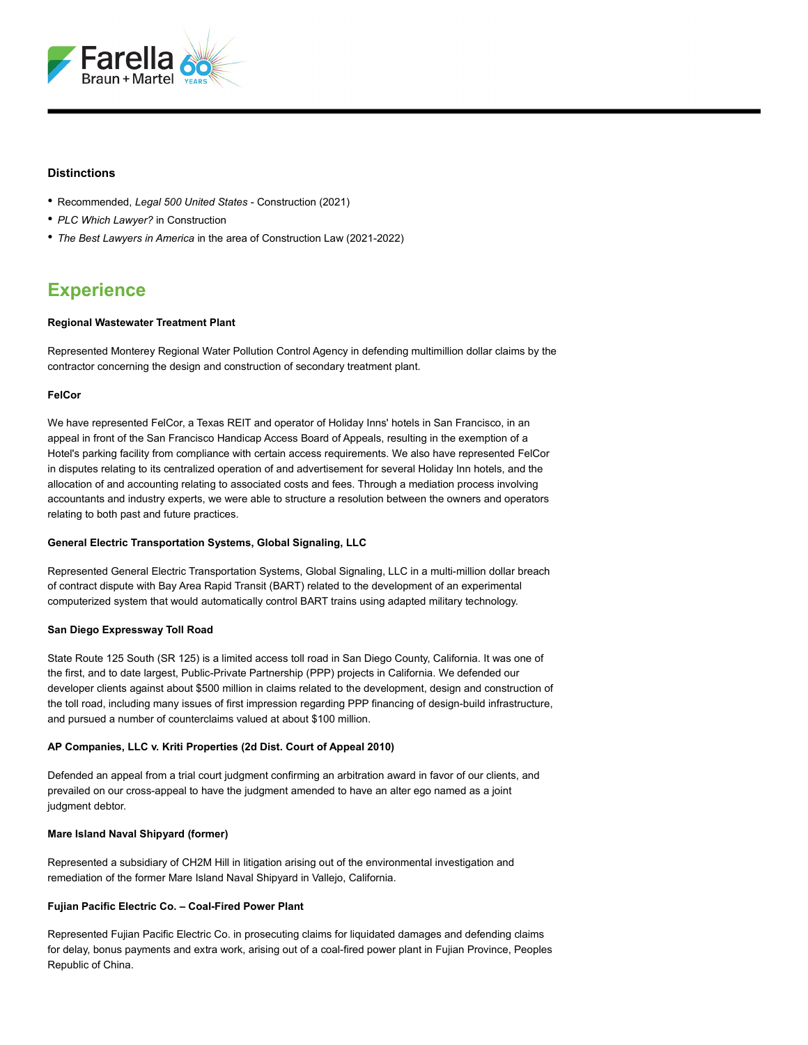

### **Distinctions**

- Recommended, *Legal 500 United States* Construction (2021)
- *PLC Which Lawyer?* in Construction
- *The Best Lawyers in America* in the area of Construction Law (2021-2022)

# **Experience**

#### **Regional Wastewater Treatment Plant**

Represented Monterey Regional Water Pollution Control Agency in defending multimillion dollar claims by the contractor concerning the design and construction of secondary treatment plant.

### **FelCor**

We have represented FelCor, a Texas REIT and operator of Holiday Inns' hotels in San Francisco, in an appeal in front of the San Francisco Handicap Access Board of Appeals, resulting in the exemption of a Hotel's parking facility from compliance with certain access requirements. We also have represented FelCor in disputes relating to its centralized operation of and advertisement for several Holiday Inn hotels, and the allocation of and accounting relating to associated costs and fees. Through a mediation process involving accountants and industry experts, we were able to structure a resolution between the owners and operators relating to both past and future practices.

#### **General Electric Transportation Systems, Global Signaling, LLC**

Represented General Electric Transportation Systems, Global Signaling, LLC in a multi-million dollar breach of contract dispute with Bay Area Rapid Transit (BART) related to the development of an experimental computerized system that would automatically control BART trains using adapted military technology.

#### **San Diego Expressway Toll Road**

State Route 125 South (SR 125) is a limited access toll road in San Diego County, California. It was one of the first, and to date largest, Public-Private Partnership (PPP) projects in California. We defended our developer clients against about \$500 million in claims related to the development, design and construction of the toll road, including many issues of first impression regarding PPP financing of design-build infrastructure, and pursued a number of counterclaims valued at about \$100 million.

#### **AP Companies, LLC v. Kriti Properties (2d Dist. Court of Appeal 2010)**

Defended an appeal from a trial court judgment confirming an arbitration award in favor of our clients, and prevailed on our cross-appeal to have the judgment amended to have an alter ego named as a joint judgment debtor.

# **Mare Island Naval Shipyard (former)**

Represented a subsidiary of CH2M Hill in litigation arising out of the environmental investigation and remediation of the former Mare Island Naval Shipyard in Vallejo, California.

# **Fujian Pacific Electric Co. – Coal-Fired Power Plant**

Represented Fujian Pacific Electric Co. in prosecuting claims for liquidated damages and defending claims for delay, bonus payments and extra work, arising out of a coal-fired power plant in Fujian Province, Peoples Republic of China.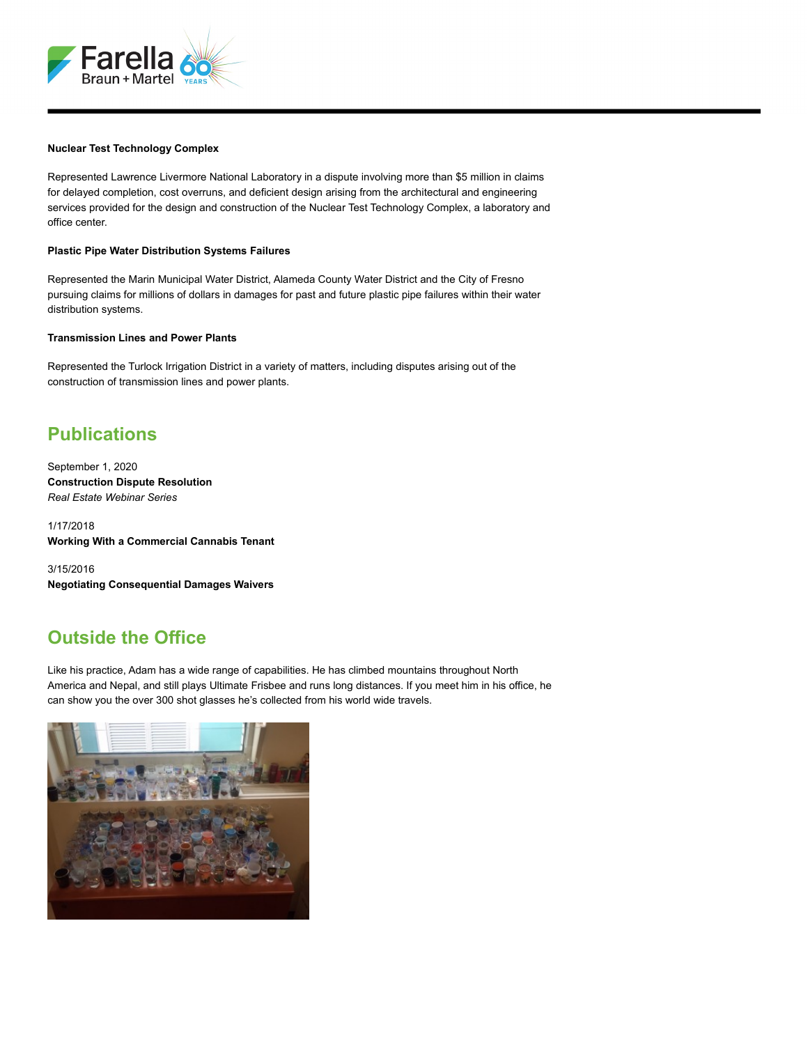

#### **Nuclear Test Technology Complex**

Represented Lawrence Livermore National Laboratory in a dispute involving more than \$5 million in claims for delayed completion, cost overruns, and deficient design arising from the architectural and engineering services provided for the design and construction of the Nuclear Test Technology Complex, a laboratory and office center.

#### **Plastic Pipe Water Distribution Systems Failures**

Represented the Marin Municipal Water District, Alameda County Water District and the City of Fresno pursuing claims for millions of dollars in damages for past and future plastic pipe failures within their water distribution systems.

#### **Transmission Lines and Power Plants**

Represented the Turlock Irrigation District in a variety of matters, including disputes arising out of the construction of transmission lines and power plants.

# **Publications**

September 1, 2020 **Construction Dispute Resolution** *Real Estate Webinar Series*

1/17/2018 **Working With a Commercial Cannabis Tenant**

3/15/2016 **Negotiating Consequential Damages Waivers**

# **Outside the Office**

Like his practice, Adam has a wide range of capabilities. He has climbed mountains throughout North America and Nepal, and still plays Ultimate Frisbee and runs long distances. If you meet him in his office, he can show you the over 300 shot glasses he's collected from his world wide travels.